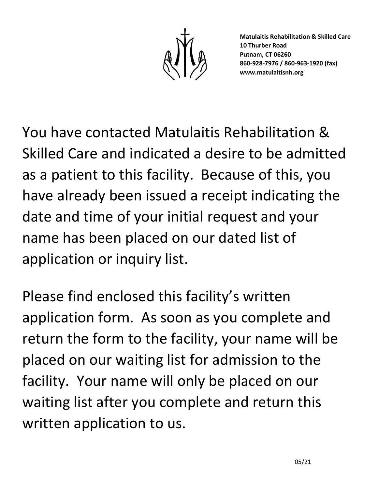You have contacted Matulaitis Rehabilitation & Skilled Care and indicated a desire to be admitted as a patient to this facility. Because of this, you have already been issued a receipt indicating the date and time of your initial request and your name has been placed on our dated list of application or inquiry list.

Please find enclosed this facility's written application form. As soon as you complete and return the form to the facility, your name will be placed on our waiting list for admission to the facility. Your name will only be placed on our waiting list after you complete and return this written application to us.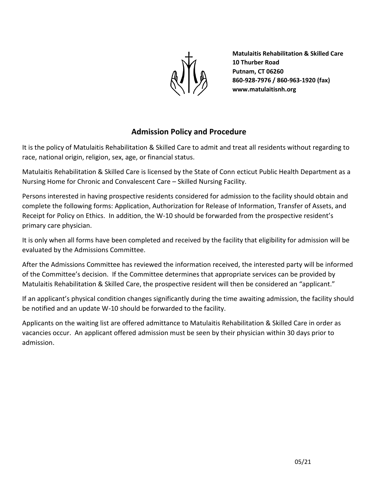

### **Admission Policy and Procedure**

It is the policy of Matulaitis Rehabilitation & Skilled Care to admit and treat all residents without regarding to race, national origin, religion, sex, age, or financial status.

Matulaitis Rehabilitation & Skilled Care is licensed by the State of Conn ecticut Public Health Department as a Nursing Home for Chronic and Convalescent Care – Skilled Nursing Facility.

Persons interested in having prospective residents considered for admission to the facility should obtain and complete the following forms: Application, Authorization for Release of Information, Transfer of Assets, and Receipt for Policy on Ethics. In addition, the W-10 should be forwarded from the prospective resident's primary care physician.

It is only when all forms have been completed and received by the facility that eligibility for admission will be evaluated by the Admissions Committee.

After the Admissions Committee has reviewed the information received, the interested party will be informed of the Committee's decision. If the Committee determines that appropriate services can be provided by Matulaitis Rehabilitation & Skilled Care, the prospective resident will then be considered an "applicant."

If an applicant's physical condition changes significantly during the time awaiting admission, the facility should be notified and an update W-10 should be forwarded to the facility.

Applicants on the waiting list are offered admittance to Matulaitis Rehabilitation & Skilled Care in order as vacancies occur. An applicant offered admission must be seen by their physician within 30 days prior to admission.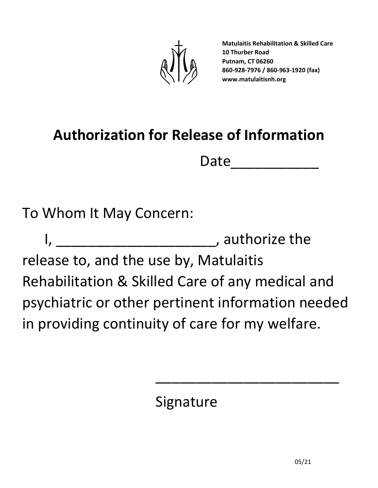

# **Authorization for Release of Information**

Date\_\_\_\_\_\_\_\_\_\_\_

To Whom It May Concern:

I, \_\_\_\_\_\_\_\_\_\_\_\_\_\_\_\_\_\_\_\_\_\_\_\_\_, authorize the release to, and the use by, Matulaitis Rehabilitation & Skilled Care of any medical and psychiatric or other pertinent information needed in providing continuity of care for my welfare.

Signature

\_\_\_\_\_\_\_\_\_\_\_\_\_\_\_\_\_\_\_\_\_\_\_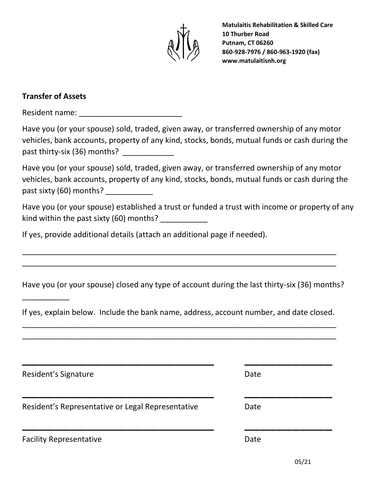

## **Transfer of Assets**

\_\_\_\_\_\_\_\_\_\_\_

Resident name: \_\_\_\_\_\_\_\_\_\_\_\_\_\_\_\_\_\_\_\_\_\_\_\_

| Have you (or your spouse) sold, traded, given away, or transferred ownership of any motor     |
|-----------------------------------------------------------------------------------------------|
| vehicles, bank accounts, property of any kind, stocks, bonds, mutual funds or cash during the |
| past thirty-six (36) months?                                                                  |

Have you (or your spouse) sold, traded, given away, or transferred ownership of any motor vehicles, bank accounts, property of any kind, stocks, bonds, mutual funds or cash during the past sixty (60) months?

Have you (or your spouse) established a trust or funded a trust with income or property of any kind within the past sixty (60) months?

If yes, provide additional details (attach an additional page if needed).

Have you (or your spouse) closed any type of account during the last thirty-six (36) months?

\_\_\_\_\_\_\_\_\_\_\_\_\_\_\_\_\_\_\_\_\_\_\_\_\_\_\_\_\_\_\_\_\_\_\_\_\_\_\_\_\_\_\_\_\_\_\_\_\_\_\_\_\_\_\_\_\_\_\_\_\_\_\_\_\_\_\_\_\_\_\_\_\_ \_\_\_\_\_\_\_\_\_\_\_\_\_\_\_\_\_\_\_\_\_\_\_\_\_\_\_\_\_\_\_\_\_\_\_\_\_\_\_\_\_\_\_\_\_\_\_\_\_\_\_\_\_\_\_\_\_\_\_\_\_\_\_\_\_\_\_\_\_\_\_\_\_

If yes, explain below. Include the bank name, address, account number, and date closed. \_\_\_\_\_\_\_\_\_\_\_\_\_\_\_\_\_\_\_\_\_\_\_\_\_\_\_\_\_\_\_\_\_\_\_\_\_\_\_\_\_\_\_\_\_\_\_\_\_\_\_\_\_\_\_\_\_\_\_\_\_\_\_\_\_\_\_\_\_\_\_\_\_

\_\_\_\_\_\_\_\_\_\_\_\_\_\_\_\_\_\_\_\_\_\_\_\_\_\_\_\_\_\_\_\_\_\_\_\_\_\_\_\_\_\_\_\_\_\_\_\_\_\_\_\_\_\_\_\_\_\_\_\_\_\_\_\_\_\_\_\_\_\_\_\_\_

| Resident's Signature                              | Date |  |
|---------------------------------------------------|------|--|
| Resident's Representative or Legal Representative | Date |  |
| <b>Facility Representative</b>                    | Date |  |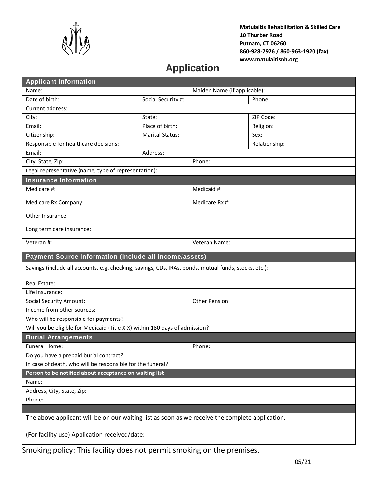

# **Application**

| <b>Applicant Information</b>                                                                          |                              |        |           |  |  |
|-------------------------------------------------------------------------------------------------------|------------------------------|--------|-----------|--|--|
| Name:                                                                                                 | Maiden Name (if applicable): |        |           |  |  |
| Date of birth:                                                                                        | Social Security #:           |        | Phone:    |  |  |
| Current address:                                                                                      |                              |        |           |  |  |
| City:                                                                                                 | State:                       |        | ZIP Code: |  |  |
| Email:                                                                                                | Place of birth:              |        | Religion: |  |  |
| Citizenship:                                                                                          | <b>Marital Status:</b>       |        | Sex:      |  |  |
| Responsible for healthcare decisions:<br>Relationship:                                                |                              |        |           |  |  |
| Email:                                                                                                | Address:                     |        |           |  |  |
| City, State, Zip:                                                                                     |                              | Phone: |           |  |  |
| Legal representative (name, type of representation):                                                  |                              |        |           |  |  |
| <b>Insurance Information</b>                                                                          |                              |        |           |  |  |
| Medicare #:                                                                                           | Medicaid #:                  |        |           |  |  |
| Medicare Rx Company:                                                                                  | Medicare Rx #:               |        |           |  |  |
| Other Insurance:                                                                                      |                              |        |           |  |  |
| Long term care insurance:                                                                             |                              |        |           |  |  |
| Veteran #:                                                                                            | Veteran Name:                |        |           |  |  |
| Payment Source Information (include all income/assets)                                                |                              |        |           |  |  |
| Savings (include all accounts, e.g. checking, savings, CDs, IRAs, bonds, mutual funds, stocks, etc.): |                              |        |           |  |  |
| Real Estate:                                                                                          |                              |        |           |  |  |
| Life Insurance:                                                                                       |                              |        |           |  |  |
| <b>Social Security Amount:</b>                                                                        | Other Pension:               |        |           |  |  |
| Income from other sources:                                                                            |                              |        |           |  |  |
| Who will be responsible for payments?                                                                 |                              |        |           |  |  |
| Will you be eligible for Medicaid (Title XIX) within 180 days of admission?                           |                              |        |           |  |  |
| <b>Burial Arrangements</b>                                                                            |                              |        |           |  |  |
| Funeral Home:<br>Phone:                                                                               |                              |        |           |  |  |
| Do you have a prepaid burial contract?                                                                |                              |        |           |  |  |
| In case of death, who will be responsible for the funeral?                                            |                              |        |           |  |  |
| Person to be notified about acceptance on waiting list                                                |                              |        |           |  |  |
| Name:                                                                                                 |                              |        |           |  |  |
| Address, City, State, Zip:                                                                            |                              |        |           |  |  |
| Phone:                                                                                                |                              |        |           |  |  |
|                                                                                                       |                              |        |           |  |  |
| The above applicant will be on our waiting list as soon as we receive the complete application.       |                              |        |           |  |  |
| (For facility use) Application received/date:                                                         |                              |        |           |  |  |

Smoking policy: This facility does not permit smoking on the premises.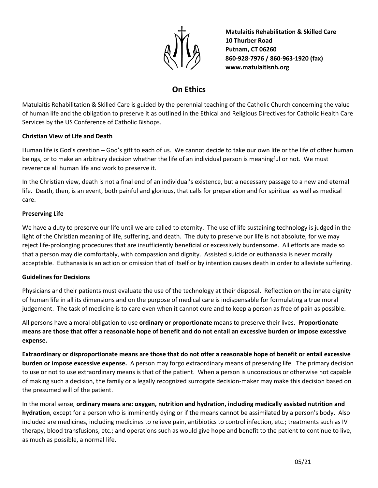

## **On Ethics**

Matulaitis Rehabilitation & Skilled Care is guided by the perennial teaching of the Catholic Church concerning the value of human life and the obligation to preserve it as outlined in the Ethical and Religious Directives for Catholic Health Care Services by the US Conference of Catholic Bishops.

#### **Christian View of Life and Death**

Human life is God's creation – God's gift to each of us. We cannot decide to take our own life or the life of other human beings, or to make an arbitrary decision whether the life of an individual person is meaningful or not. We must reverence all human life and work to preserve it.

In the Christian view, death is not a final end of an individual's existence, but a necessary passage to a new and eternal life. Death, then, is an event, both painful and glorious, that calls for preparation and for spiritual as well as medical care.

#### **Preserving Life**

We have a duty to preserve our life until we are called to eternity. The use of life sustaining technology is judged in the light of the Christian meaning of life, suffering, and death. The duty to preserve our life is not absolute, for we may reject life-prolonging procedures that are insufficiently beneficial or excessively burdensome. All efforts are made so that a person may die comfortably, with compassion and dignity. Assisted suicide or euthanasia is never morally acceptable. Euthanasia is an action or omission that of itself or by intention causes death in order to alleviate suffering.

#### **Guidelines for Decisions**

Physicians and their patients must evaluate the use of the technology at their disposal. Reflection on the innate dignity of human life in all its dimensions and on the purpose of medical care is indispensable for formulating a true moral judgement. The task of medicine is to care even when it cannot cure and to keep a person as free of pain as possible.

All persons have a moral obligation to use **ordinary or proportionate** means to preserve their lives. **Proportionate means are those that offer a reasonable hope of benefit and do not entail an excessive burden or impose excessive expense.**

**Extraordinary or disproportionate means are those that do not offer a reasonable hope of benefit or entail excessive burden or impose excessive expense.** A person may forgo extraordinary means of preserving life. The primary decision to use or not to use extraordinary means is that of the patient. When a person is unconscious or otherwise not capable of making such a decision, the family or a legally recognized surrogate decision-maker may make this decision based on the presumed will of the patient.

In the moral sense, **ordinary means are: oxygen, nutrition and hydration, including medically assisted nutrition and hydration**, except for a person who is imminently dying or if the means cannot be assimilated by a person's body. Also included are medicines, including medicines to relieve pain, antibiotics to control infection, etc.; treatments such as IV therapy, blood transfusions, etc.; and operations such as would give hope and benefit to the patient to continue to live, as much as possible, a normal life.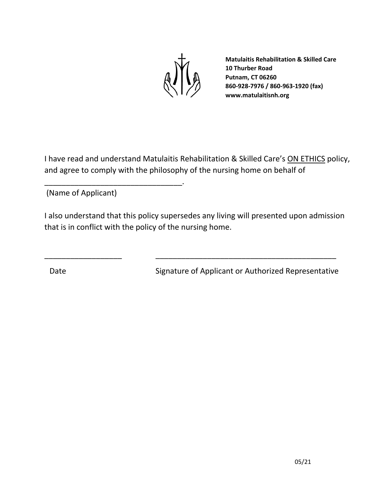

I have read and understand Matulaitis Rehabilitation & Skilled Care's ON ETHICS policy, and agree to comply with the philosophy of the nursing home on behalf of

(Name of Applicant)

\_\_\_\_\_\_\_\_\_\_\_\_\_\_\_\_\_\_\_\_\_\_\_\_\_\_\_\_\_\_\_\_.

I also understand that this policy supersedes any living will presented upon admission that is in conflict with the policy of the nursing home.

\_\_\_\_\_\_\_\_\_\_\_\_\_\_\_\_\_\_ \_\_\_\_\_\_\_\_\_\_\_\_\_\_\_\_\_\_\_\_\_\_\_\_\_\_\_\_\_\_\_\_\_\_\_\_\_\_\_\_\_\_

Date Signature of Applicant or Authorized Representative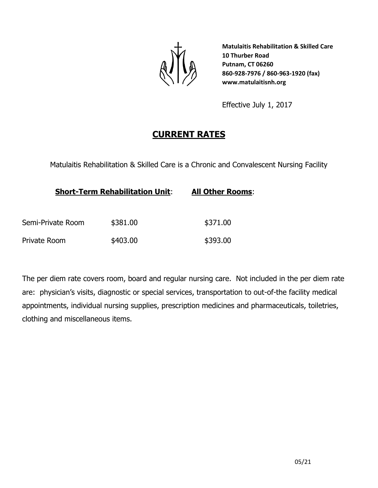

Effective July 1, 2017

# **CURRENT RATES**

Matulaitis Rehabilitation & Skilled Care is a Chronic and Convalescent Nursing Facility

| <b>Short-Term Rehabilitation Unit:</b> | <b>All Other Rooms:</b> |          |  |
|----------------------------------------|-------------------------|----------|--|
| Semi-Private Room                      | \$381.00                | \$371.00 |  |
| Private Room                           | \$403.00                | \$393.00 |  |

The per diem rate covers room, board and regular nursing care. Not included in the per diem rate are: physician's visits, diagnostic or special services, transportation to out-of-the facility medical appointments, individual nursing supplies, prescription medicines and pharmaceuticals, toiletries, clothing and miscellaneous items.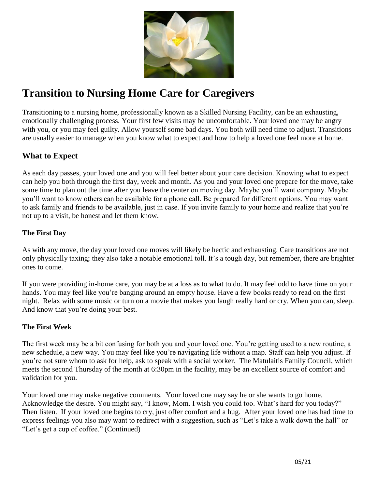

# **Transition to Nursing Home Care for Caregivers**

Transitioning to a nursing home, professionally known as a Skilled Nursing Facility, can be an exhausting, emotionally challenging process. Your first few visits may be uncomfortable. Your loved one may be angry with you, or you may feel guilty. Allow yourself some bad days. You both will need time to adjust. Transitions are usually easier to manage when you know what to expect and how to help a loved one feel more at home.

### **What to Expect**

As each day passes, your loved one and you will feel better about your care decision. Knowing what to expect can help you both through the first day, week and month. As you and your loved one prepare for the move, take some time to plan out the time after you leave the center on moving day. Maybe you'll want company. Maybe you'll want to know others can be available for a phone call. Be prepared for different options. You may want to ask family and friends to be available, just in case. If you invite family to your home and realize that you're not up to a visit, be honest and let them know.

### **The First Day**

As with any move, the day your loved one moves will likely be hectic and exhausting. Care transitions are not only physically taxing; they also take a notable emotional toll. It's a tough day, but remember, there are brighter ones to come.

If you were providing in-home care, you may be at a loss as to what to do. It may feel odd to have time on your hands. You may feel like you're banging around an empty house. Have a few books ready to read on the first night. Relax with some music or turn on a movie that makes you laugh really hard or cry. When you can, sleep. And know that you're doing your best.

### **The First Week**

The first week may be a bit confusing for both you and your loved one. You're getting used to a new routine, a new schedule, a new way. You may feel like you're navigating life without a map. Staff can help you adjust. If you're not sure whom to ask for help, ask to speak with a social worker. The Matulaitis Family Council, which meets the second Thursday of the month at 6:30pm in the facility, may be an excellent source of comfort and validation for you.

Your loved one may make negative comments. Your loved one may say he or she wants to go home. Acknowledge the desire. You might say, "I know, Mom. I wish you could too. What's hard for you today?" Then listen. If your loved one begins to cry, just offer comfort and a hug. After your loved one has had time to express feelings you also may want to redirect with a suggestion, such as "Let's take a walk down the hall" or "Let's get a cup of coffee." (Continued)